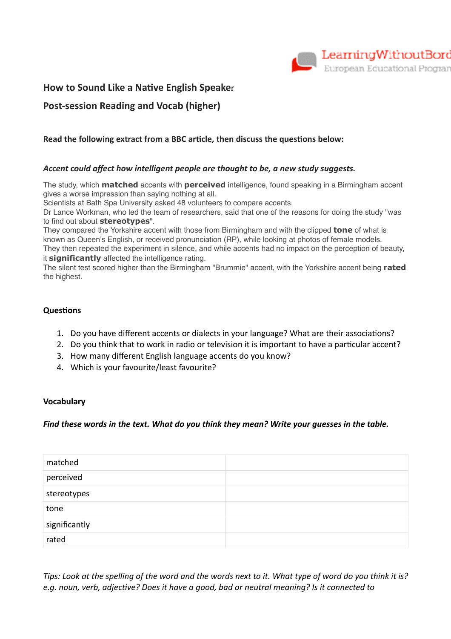

## **How to Sound Like a Native English Speaker**

# **Post-session Reading and Vocab (higher)**

## **Read the following extract from a BBC article, then discuss the questions below:**

## *Accent could affect how intelligent people are thought to be, a new study suggests.*

The study, which **matched** accents with **perceived** intelligence, found speaking in a Birmingham accent gives a worse impression than saying nothing at all.

Scientists at Bath Spa University asked 48 volunteers to compare accents.

Dr Lance Workman, who led the team of researchers, said that one of the reasons for doing the study "was to find out about **stereotypes**".

They compared the Yorkshire accent with those from Birmingham and with the clipped **tone** of what is known as Queen's English, or received pronunciation (RP), while looking at photos of female models. They then repeated the experiment in silence, and while accents had no impact on the perception of beauty,

it **significantly** affected the intelligence rating.

The silent test scored higher than the Birmingham "Brummie" accent, with the Yorkshire accent being **rated** the highest.

#### **Questions**

- 1. Do you have different accents or dialects in your language? What are their associations?
- 2. Do you think that to work in radio or television it is important to have a particular accent?
- 3. How many different English language accents do you know?
- 4. Which is your favourite/least favourite?

#### **Vocabulary**

#### *Find these words in the text. What do you think they mean? Write your guesses in the table.*

| matched       |  |
|---------------|--|
| perceived     |  |
| stereotypes   |  |
| tone          |  |
| significantly |  |
| rated         |  |

*Tips: Look at the spelling of the word and the words next to it. What type of word do you think it is?*  e.g. noun, verb, adjective? Does it have a good, bad or neutral meaning? Is it connected to